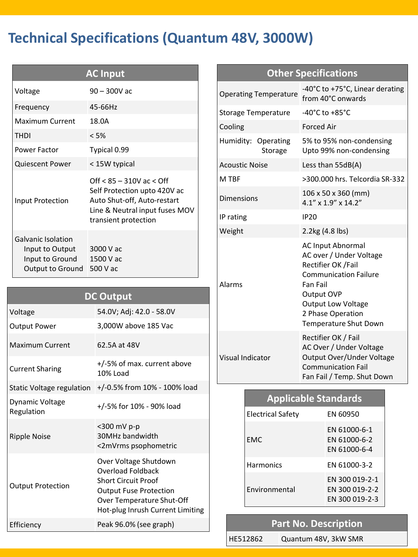# **Technical Specifications (Quantum 48V, 3000W)**

| <b>AC Input</b>                                                                     |                                                                                                                                                       |  |  |  |  |  |
|-------------------------------------------------------------------------------------|-------------------------------------------------------------------------------------------------------------------------------------------------------|--|--|--|--|--|
| Voltage                                                                             | 90 – 300V ac                                                                                                                                          |  |  |  |  |  |
| Frequency                                                                           | 45-66Hz                                                                                                                                               |  |  |  |  |  |
| Maximum Current                                                                     | 18.0A                                                                                                                                                 |  |  |  |  |  |
| <b>THDI</b>                                                                         | < 5%                                                                                                                                                  |  |  |  |  |  |
| <b>Power Factor</b>                                                                 | Typical 0.99                                                                                                                                          |  |  |  |  |  |
| Quiescent Power                                                                     | < 15W typical                                                                                                                                         |  |  |  |  |  |
| Input Protection                                                                    | Off $< 85 - 310V$ ac $<$ Off<br>Self Protection upto 420V ac<br>Auto Shut-off, Auto-restart<br>Line & Neutral input fuses MOV<br>transient protection |  |  |  |  |  |
| <b>Galvanic Isolation</b><br>Input to Output<br>Input to Ground<br>Output to Ground | 3000 V ac<br>1500 V ac<br>500 V ac                                                                                                                    |  |  |  |  |  |

| <b>DC Output</b>              |                                                                                                                                                                                   |  |  |  |  |  |  |
|-------------------------------|-----------------------------------------------------------------------------------------------------------------------------------------------------------------------------------|--|--|--|--|--|--|
| Voltage                       | 54.0V; Adj: 42.0 - 58.0V                                                                                                                                                          |  |  |  |  |  |  |
| <b>Output Power</b>           | 3,000W above 185 Vac                                                                                                                                                              |  |  |  |  |  |  |
| <b>Maximum Current</b>        | 62.5A at 48V                                                                                                                                                                      |  |  |  |  |  |  |
| <b>Current Sharing</b>        | +/-5% of max. current above<br>10% Load                                                                                                                                           |  |  |  |  |  |  |
|                               | Static Voltage regulation   +/-0.5% from 10% - 100% load                                                                                                                          |  |  |  |  |  |  |
| Dynamic Voltage<br>Regulation | +/-5% for 10% - 90% load                                                                                                                                                          |  |  |  |  |  |  |
| <b>Ripple Noise</b>           | <300 mV p-p<br>30MHz bandwidth<br><2mVrms psophometric                                                                                                                            |  |  |  |  |  |  |
| <b>Output Protection</b>      | Over Voltage Shutdown<br><b>Overload Foldback</b><br><b>Short Circuit Proof</b><br><b>Output Fuse Protection</b><br>Over Temperature Shut-Off<br>Hot-plug Inrush Current Limiting |  |  |  |  |  |  |
| Efficiency                    | Peak 96.0% (see graph)                                                                                                                                                            |  |  |  |  |  |  |

#### **Other Specifications** Operating Temperature -40°C to +75°C, Linear derating from 40°C onwards Storage Temperature -40°C to +85°C Cooling Forced Air Humidity: Operating Storage 5% to 95% non-condensing Upto 99% non-condensing Acoustic Noise Less than 55dB(A) M TBF >300.000 hrs. Telcordia SR-332 Dimensions  $106 \times 50 \times 360$  (mm) 4.1" x 1.9" x 14.2" IP rating IP20 Weight 2.2kg (4.8 lbs) Alarms AC Input Abnormal AC over / Under Voltage Rectifier OK /Fail Communication Failure Fan Fail Output OVP Output Low Voltage 2 Phase Operation Temperature Shut Down Visual Indicator Rectifier OK / Fail AC Over / Under Voltage Output Over/Under Voltage Communication Fail Fan Fail / Temp. Shut Down

| <b>Applicable Standards</b> |                                                    |  |  |  |  |  |
|-----------------------------|----------------------------------------------------|--|--|--|--|--|
| <b>Electrical Safety</b>    | <b>FN 60950</b>                                    |  |  |  |  |  |
| <b>FMC</b>                  | EN 61000-6-1<br>EN 61000-6-2<br>FN 61000-6-4       |  |  |  |  |  |
| <b>Harmonics</b>            | FN 61000-3-2                                       |  |  |  |  |  |
| <b>Fnvironmental</b>        | EN 300 019-2-1<br>EN 300 019-2-2<br>FN 300 019-2-3 |  |  |  |  |  |

### **Part No. Description**

HE512862 Quantum 48V, 3kW SMR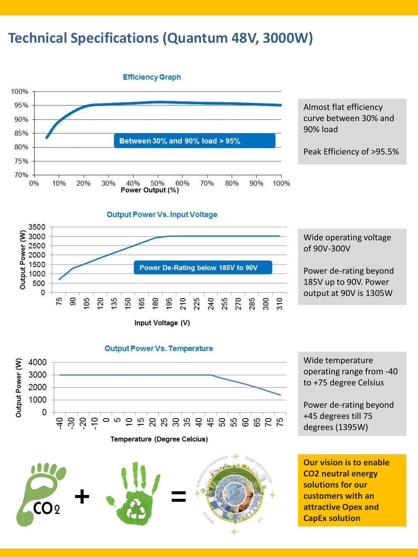## **Technical Specifications (Quantum 48V, 3000W)**



Almost flat efficiency curve between 30% and 90% load

Peak Efficiency of >95.5%



Wide operating voltage of 90V-300V

Power de-rating beyond 185V up to 90V. Power output at 90V is 1305W





**+ =**

 $CO<sub>2</sub>$ 

Wide temperature operating range from -40 to +75 degree Celsius

Power de-rating beyond +45 degrees till 75 degrees (1395W)

**Our vision is to enable CO2 neutral energy solutions for our customers with an attractive Opex and CapEx solution**